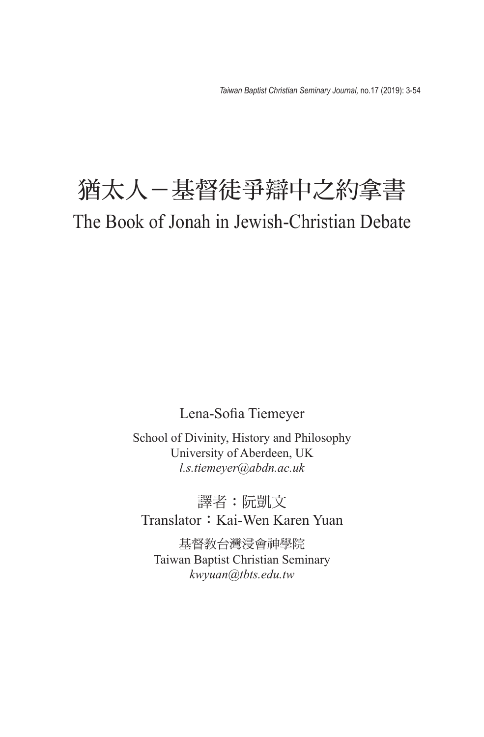# 猶太人-基督徒爭辯中之約拿書 The Book of Jonah in Jewish-Christian Debate

Lena-Sofia Tiemeyer

School of Divinity, History and Philosophy University of Aberdeen, UK *l.s.tiemeyer@abdn.ac.uk*

譯者:阮凱文 Translator: Kai-Wen Karen Yuan

基督教台灣浸會神學院 Taiwan Baptist Christian Seminary *kwyuan@tbts.edu.tw*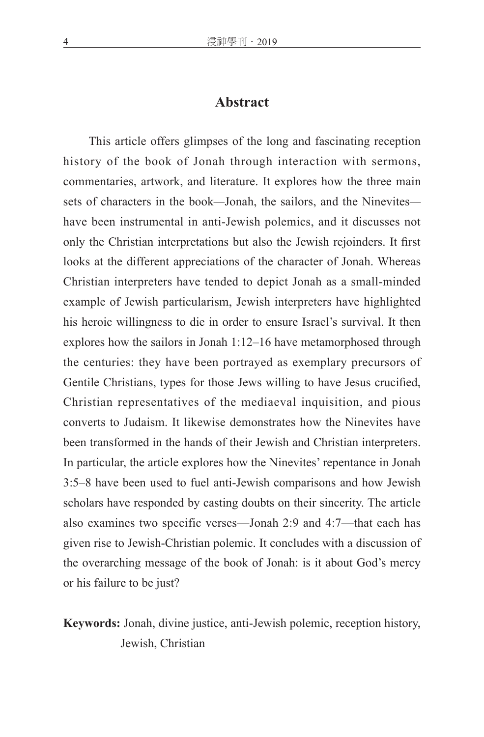### **Abstract**

This article offers glimpses of the long and fascinating reception history of the book of Jonah through interaction with sermons, commentaries, artwork, and literature. It explores how the three main sets of characters in the book*—*Jonah, the sailors, and the Ninevites have been instrumental in anti-Jewish polemics, and it discusses not only the Christian interpretations but also the Jewish rejoinders. It first looks at the different appreciations of the character of Jonah. Whereas Christian interpreters have tended to depict Jonah as a small-minded example of Jewish particularism, Jewish interpreters have highlighted his heroic willingness to die in order to ensure Israel's survival. It then explores how the sailors in Jonah 1:12–16 have metamorphosed through the centuries: they have been portrayed as exemplary precursors of Gentile Christians, types for those Jews willing to have Jesus crucified, Christian representatives of the mediaeval inquisition, and pious converts to Judaism. It likewise demonstrates how the Ninevites have been transformed in the hands of their Jewish and Christian interpreters. In particular, the article explores how the Ninevites' repentance in Jonah 3:5–8 have been used to fuel anti-Jewish comparisons and how Jewish scholars have responded by casting doubts on their sincerity. The article also examines two specific verses—Jonah 2:9 and 4:7—that each has given rise to Jewish-Christian polemic. It concludes with a discussion of the overarching message of the book of Jonah: is it about God's mercy or his failure to be just?

**Keywords:** Jonah, divine justice, anti-Jewish polemic, reception history, Jewish, Christian